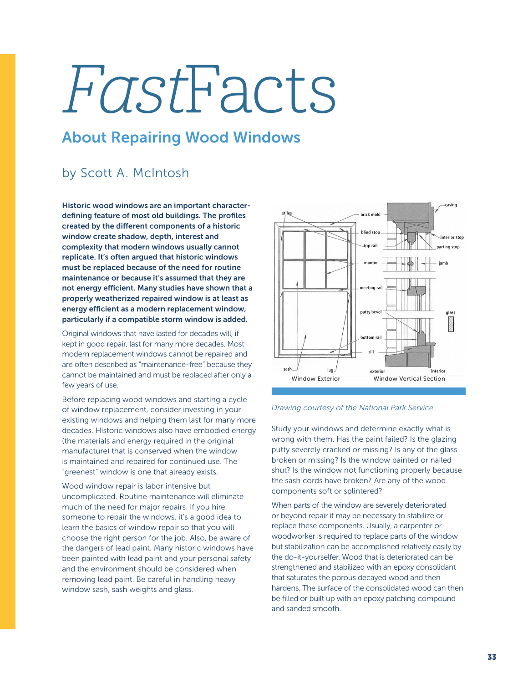# FastFacts

## About Repairing Wood Windows

## by Scott A. McIntosh

Historic wood windows are an important characterdefining feature of most old buildings. The profiles created by the different components of a historic window create shadow, depth, interest and complexity that modern windows usually cannot replicate. It's often argued that historic windows must be replaced because of the need for routine maintenance or because it's assumed that they are not energy efficient. Many studies have shown that a properly weatherized repaired window is at least as energy efficient as a modern replacement window, particularly if a compatible storm window is added.

Original windows that have lasted for decades will, if kept in good repair, last for many more decades. Most modern replacement windows cannot be repaired and are often described as "maintenance-free" because they cannot be maintained and must be replaced after only a few years of use.

Before replacing wood windows and starting a cycle of window replacement, consider investing in your existing windows and helping them last for many more decades. Historic windows also have embodied energy (the materials and energy required in the original manufacture) that is conserved when the window is maintained and repaired for continued use. The "greenest" window is one that already exists.

Wood window repair is labor intensive but uncomplicated. Routine maintenance will eliminate much of the need for major repairs. If you hire someone to repair the windows, it's a good idea to learn the basics of window repair so that you will choose the right person for the job. Also, be aware of the dangers of lead paint. Many historic windows have been painted with lead paint and your personal safety and the environment should be considered when removing lead paint. Be careful in handling heavy window sash, sash weights and glass.





Study your windows and determine exactly what is wrong with them. Has the paint failed? Is the glazing putty severely cracked or missing? Is any of the glass broken or missing? Is the window painted or nailed shut? Is the window not functioning properly because the sash cords have broken? Are any of the wood components soft or splintered?

When parts of the window are severely deteriorated or beyond repair it may be necessary to stabilize or replace these components. Usually, a carpenter or woodworker is required to replace parts of the window but stabilization can be accomplished relatively easily by the do-it-yourselfer. Wood that is deteriorated can be strengthened and stabilized with an epoxy consolidant that saturates the porous decayed wood and then hardens. The surface of the consolidated wood can then be filled or built up with an epoxy patching compound and sanded smooth.